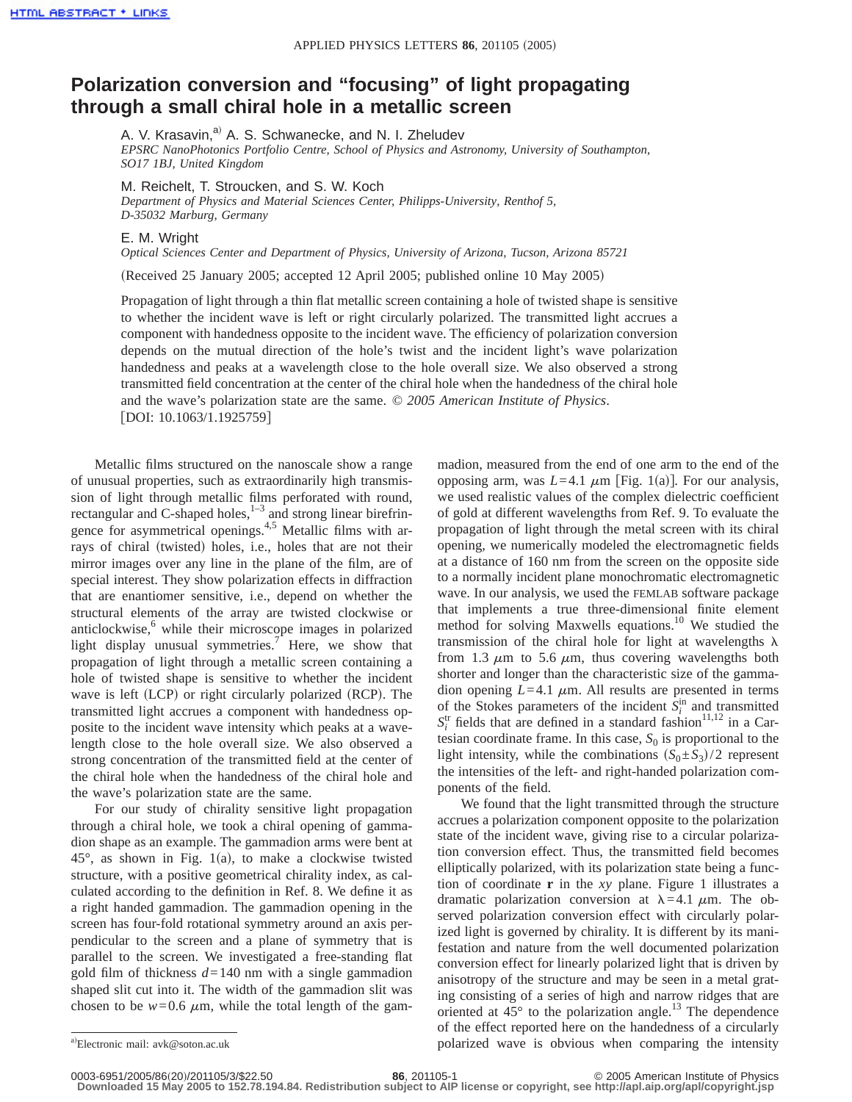## **Polarization conversion and "focusing" of light propagating through a small chiral hole in a metallic screen**

A. V. Krasavin,<sup>a)</sup> A. S. Schwanecke, and N. I. Zheludev *EPSRC NanoPhotonics Portfolio Centre, School of Physics and Astronomy, University of Southampton, SO17 1BJ, United Kingdom*

M. Reichelt, T. Stroucken, and S. W. Koch *Department of Physics and Material Sciences Center, Philipps-University, Renthof 5, D-35032 Marburg, Germany*

E. M. Wright

*Optical Sciences Center and Department of Physics, University of Arizona, Tucson, Arizona 85721*

(Received 25 January 2005; accepted 12 April 2005; published online 10 May 2005)

Propagation of light through a thin flat metallic screen containing a hole of twisted shape is sensitive to whether the incident wave is left or right circularly polarized. The transmitted light accrues a component with handedness opposite to the incident wave. The efficiency of polarization conversion depends on the mutual direction of the hole's twist and the incident light's wave polarization handedness and peaks at a wavelength close to the hole overall size. We also observed a strong transmitted field concentration at the center of the chiral hole when the handedness of the chiral hole and the wave's polarization state are the same. © *2005 American Institute of Physics*. [DOI: 10.1063/1.1925759]

Metallic films structured on the nanoscale show a range of unusual properties, such as extraordinarily high transmission of light through metallic films perforated with round, rectangular and C-shaped holes, $1-3$  and strong linear birefringence for asymmetrical openings.<sup>4,5</sup> Metallic films with arrays of chiral (twisted) holes, i.e., holes that are not their mirror images over any line in the plane of the film, are of special interest. They show polarization effects in diffraction that are enantiomer sensitive, i.e., depend on whether the structural elements of the array are twisted clockwise or anticlockwise, $6$  while their microscope images in polarized light display unusual symmetries.<sup>7</sup> Here, we show that propagation of light through a metallic screen containing a hole of twisted shape is sensitive to whether the incident wave is left  $(LCD)$  or right circularly polarized  $(RCP)$ . The transmitted light accrues a component with handedness opposite to the incident wave intensity which peaks at a wavelength close to the hole overall size. We also observed a strong concentration of the transmitted field at the center of the chiral hole when the handedness of the chiral hole and the wave's polarization state are the same.

For our study of chirality sensitive light propagation through a chiral hole, we took a chiral opening of gammadion shape as an example. The gammadion arms were bent at  $45^{\circ}$ , as shown in Fig. 1(a), to make a clockwise twisted structure, with a positive geometrical chirality index, as calculated according to the definition in Ref. 8. We define it as a right handed gammadion. The gammadion opening in the screen has four-fold rotational symmetry around an axis perpendicular to the screen and a plane of symmetry that is parallel to the screen. We investigated a free-standing flat gold film of thickness *d*=140 nm with a single gammadion shaped slit cut into it. The width of the gammadion slit was chosen to be  $w=0.6 \mu m$ , while the total length of the gammadion, measured from the end of one arm to the end of the opposing arm, was  $L=4.1 \mu m$  [Fig. 1(a)]. For our analysis, we used realistic values of the complex dielectric coefficient of gold at different wavelengths from Ref. 9. To evaluate the propagation of light through the metal screen with its chiral opening, we numerically modeled the electromagnetic fields at a distance of 160 nm from the screen on the opposite side to a normally incident plane monochromatic electromagnetic wave. In our analysis, we used the FEMLAB software package that implements a true three-dimensional finite element method for solving Maxwells equations.<sup>10</sup> We studied the transmission of the chiral hole for light at wavelengths  $\lambda$ from 1.3  $\mu$ m to 5.6  $\mu$ m, thus covering wavelengths both shorter and longer than the characteristic size of the gammadion opening  $L=4.1 \mu m$ . All results are presented in terms of the Stokes parameters of the incident  $S_i^{\text{in}}$  and transmitted  $S_i^{\text{tr}}$  fields that are defined in a standard fashion<sup>11,12</sup> in a Cartesian coordinate frame. In this case,  $S_0$  is proportional to the light intensity, while the combinations  $(S_0 \pm S_3)/2$  represent the intensities of the left- and right-handed polarization components of the field.

We found that the light transmitted through the structure accrues a polarization component opposite to the polarization state of the incident wave, giving rise to a circular polarization conversion effect. Thus, the transmitted field becomes elliptically polarized, with its polarization state being a function of coordinate **r** in the *xy* plane. Figure 1 illustrates a dramatic polarization conversion at  $\lambda$ =4.1  $\mu$ m. The observed polarization conversion effect with circularly polarized light is governed by chirality. It is different by its manifestation and nature from the well documented polarization conversion effect for linearly polarized light that is driven by anisotropy of the structure and may be seen in a metal grating consisting of a series of high and narrow ridges that are oriented at  $45^{\circ}$  to the polarization angle.<sup>13</sup> The dependence of the effect reported here on the handedness of a circularly polarized wave is obvious when comparing the intensity

<sup>&</sup>lt;sup>a)</sup>Electronic mail: avk@soton.ac.uk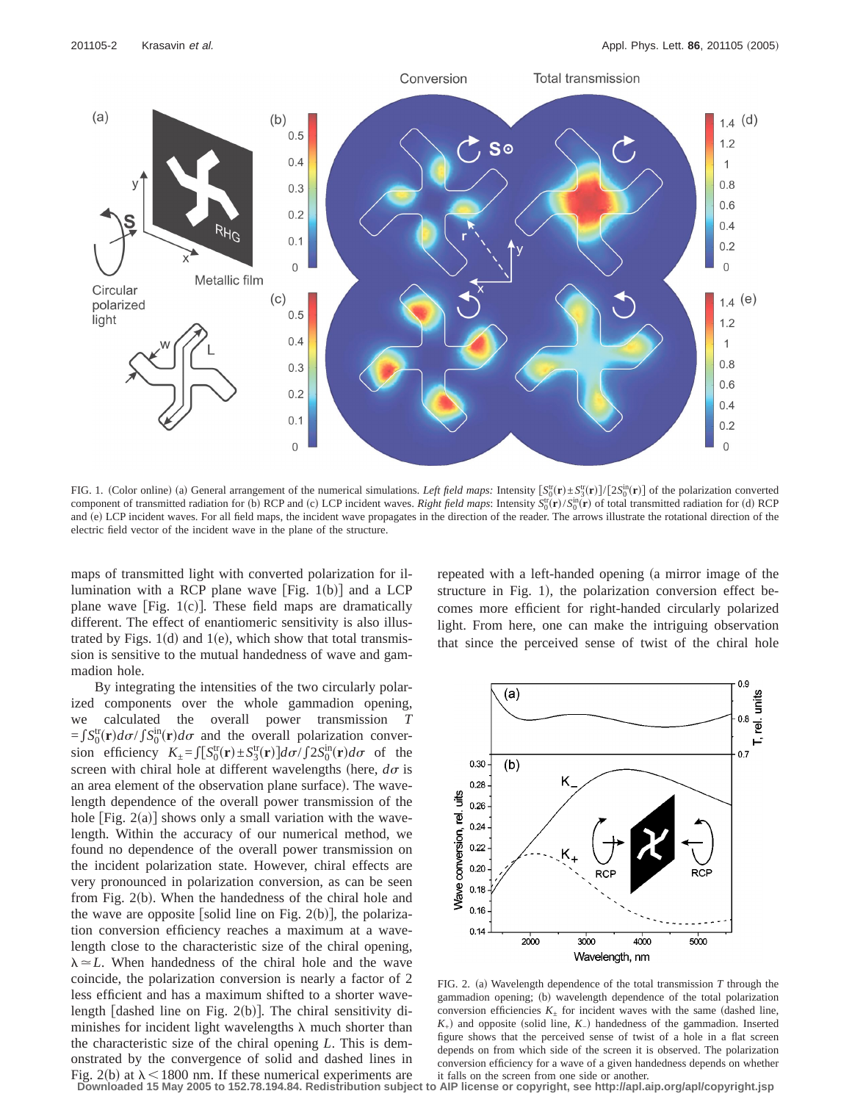

FIG. 1. (Color online) (a) General arrangement of the numerical simulations. *Left field maps:* Intensity  $[S_0^{\text{tr}}(\mathbf{r}) \pm S_3^{\text{tr}}(\mathbf{r})]/[2S_0^{\text{in}}(\mathbf{r})]$  of the polarization converted component of transmitted radiation for (b) RCP and (c) LCP incident waves. *Right field maps*: Intensity  $S_0^{\text{tr}}(\mathbf{r})/S_0^{\text{in}}(\mathbf{r})$  of total transmitted radiation for (d) RCP and (e) LCP incident waves. For all field maps, the incident wave propagates in the direction of the reader. The arrows illustrate the rotational direction of the electric field vector of the incident wave in the plane of the structure.

maps of transmitted light with converted polarization for illumination with a RCP plane wave [Fig.  $1(b)$ ] and a LCP plane wave  $[Fig. 1(c)]$ . These field maps are dramatically different. The effect of enantiomeric sensitivity is also illustrated by Figs.  $1(d)$  and  $1(e)$ , which show that total transmission is sensitive to the mutual handedness of wave and gammadion hole.

By integrating the intensities of the two circularly polarized components over the whole gammadion opening, we calculated the overall power transmission *T*  $=fS_0^{\text{tr}}(\mathbf{r})d\sigma / \int S_0^{\text{in}}(\mathbf{r})d\sigma$  and the overall polarization conversion efficiency  $K_{\pm} = \int [S_0^{\text{tr}}(\mathbf{r}) \pm S_3^{\text{tr}}(\mathbf{r})] d\sigma / \int 2S_0^{\text{in}}(\mathbf{r}) d\sigma$  of the screen with chiral hole at different wavelengths (here,  $d\sigma$  is an area element of the observation plane surface). The wavelength dependence of the overall power transmission of the hole  $[Fig. 2(a)]$  shows only a small variation with the wavelength. Within the accuracy of our numerical method, we found no dependence of the overall power transmission on the incident polarization state. However, chiral effects are very pronounced in polarization conversion, as can be seen from Fig.  $2(b)$ . When the handedness of the chiral hole and the wave are opposite [solid line on Fig. 2(b)], the polarization conversion efficiency reaches a maximum at a wavelength close to the characteristic size of the chiral opening,  $\lambda \approx L$ . When handedness of the chiral hole and the wave coincide, the polarization conversion is nearly a factor of 2 less efficient and has a maximum shifted to a shorter wavelength [dashed line on Fig.  $2(b)$ ]. The chiral sensitivity diminishes for incident light wavelengths  $\lambda$  much shorter than the characteristic size of the chiral opening *L*. This is demonstrated by the convergence of solid and dashed lines in Fig. 2(b) at  $\lambda$  < 1800 nm. If these numerical experiments are repeated with a left-handed opening (a mirror image of the structure in Fig. 1), the polarization conversion effect becomes more efficient for right-handed circularly polarized light. From here, one can make the intriguing observation that since the perceived sense of twist of the chiral hole



FIG. 2. (a) Wavelength dependence of the total transmission  $T$  through the gammadion opening; (b) wavelength dependence of the total polarization conversion efficiencies  $K_{+}$  for incident waves with the same (dashed line,  $K_{+}$ ) and opposite (solid line,  $K_{-}$ ) handedness of the gammadion. Inserted figure shows that the perceived sense of twist of a hole in a flat screen depends on from which side of the screen it is observed. The polarization conversion efficiency for a wave of a given handedness depends on whether it falls on the screen from one side or another.

**Downloaded 15 May 2005 to 152.78.194.84. Redistribution subject to AIP license or copyright, see http://apl.aip.org/apl/copyright.jsp**